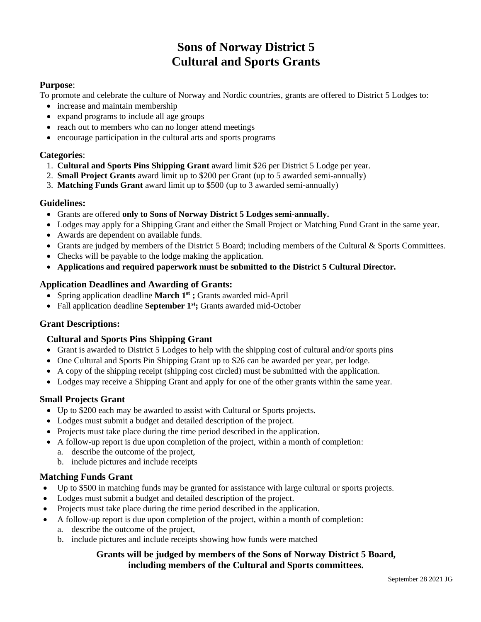# **Sons of Norway District 5 Cultural and Sports Grants**

#### **Purpose**:

To promote and celebrate the culture of Norway and Nordic countries, grants are offered to District 5 Lodges to:

- increase and maintain membership
- expand programs to include all age groups
- reach out to members who can no longer attend meetings
- encourage participation in the cultural arts and sports programs

#### **Categories**:

- 1. **Cultural and Sports Pins Shipping Grant** award limit \$26 per District 5 Lodge per year.
- 2. **Small Project Grants** award limit up to \$200 per Grant (up to 5 awarded semi-annually)
- 3. **Matching Funds Grant** award limit up to \$500 (up to 3 awarded semi-annually)

#### **Guidelines:**

- Grants are offered **only to Sons of Norway District 5 Lodges semi-annually.**
- Lodges may apply for a Shipping Grant and either the Small Project or Matching Fund Grant in the same year.
- Awards are dependent on available funds.
- Grants are judged by members of the District 5 Board; including members of the Cultural & Sports Committees.
- Checks will be payable to the lodge making the application.
- **Applications and required paperwork must be submitted to the District 5 Cultural Director.**

#### **Application Deadlines and Awarding of Grants:**

- Spring application deadline **March 1st ;** Grants awarded mid-April
- Fall application deadline **September 1st;** Grants awarded mid-October

#### **Grant Descriptions:**

#### **Cultural and Sports Pins Shipping Grant**

- Grant is awarded to District 5 Lodges to help with the shipping cost of cultural and/or sports pins
- One Cultural and Sports Pin Shipping Grant up to \$26 can be awarded per year, per lodge.
- A copy of the shipping receipt (shipping cost circled) must be submitted with the application.
- Lodges may receive a Shipping Grant and apply for one of the other grants within the same year.

#### **Small Projects Grant**

- Up to \$200 each may be awarded to assist with Cultural or Sports projects.
- Lodges must submit a budget and detailed description of the project.
- Projects must take place during the time period described in the application.
- A follow-up report is due upon completion of the project, within a month of completion:
	- a. describe the outcome of the project,
	- b. include pictures and include receipts

#### **Matching Funds Grant**

- Up to \$500 in matching funds may be granted for assistance with large cultural or sports projects.
- Lodges must submit a budget and detailed description of the project.
- Projects must take place during the time period described in the application.
- A follow-up report is due upon completion of the project, within a month of completion:
	- a. describe the outcome of the project,
	- b. include pictures and include receipts showing how funds were matched

#### **Grants will be judged by members of the Sons of Norway District 5 Board, including members of the Cultural and Sports committees.**